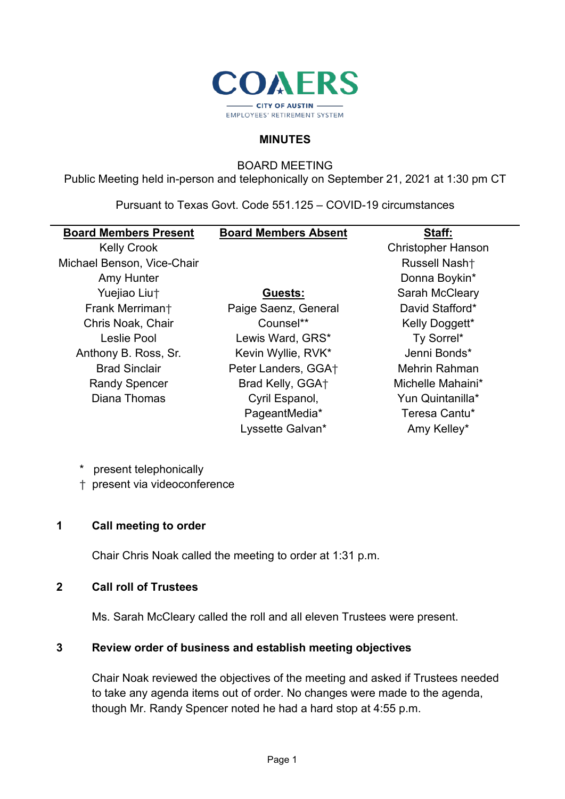

#### **MINUTES**

BOARD MEETING

Public Meeting held in-person and telephonically on September 21, 2021 at 1:30 pm CT

Pursuant to Texas Govt. Code 551.125 – COVID-19 circumstances

| <b>Board Members Present</b> | <b>Board Members Absent</b> | Staff:                    |
|------------------------------|-----------------------------|---------------------------|
| <b>Kelly Crook</b>           |                             | <b>Christopher Hanson</b> |
| Michael Benson, Vice-Chair   |                             | Russell Nash <sup>+</sup> |
| Amy Hunter                   |                             | Donna Boykin*             |
| Yuejiao Liut                 | Guests:                     | Sarah McCleary            |
| Frank Merrimant              | Paige Saenz, General        | David Stafford*           |
| Chris Noak, Chair            | Counsel**                   | Kelly Doggett*            |
| Leslie Pool                  | Lewis Ward, GRS*            | Ty Sorrel*                |
| Anthony B. Ross, Sr.         | Kevin Wyllie, RVK*          | Jenni Bonds*              |
| <b>Brad Sinclair</b>         | Peter Landers, GGA+         | Mehrin Rahman             |
| <b>Randy Spencer</b>         | Brad Kelly, GGA+            | Michelle Mahaini*         |
| Diana Thomas                 | Cyril Espanol,              | Yun Quintanilla*          |
|                              | PageantMedia*               | Teresa Cantu*             |
|                              | Lyssette Galvan*            | Amy Kelley*               |
|                              |                             |                           |

- \* present telephonically
- † present via videoconference

#### **1 Call meeting to order**

Chair Chris Noak called the meeting to order at 1:31 p.m.

### **2 Call roll of Trustees**

Ms. Sarah McCleary called the roll and all eleven Trustees were present.

#### **3 Review order of business and establish meeting objectives**

Chair Noak reviewed the objectives of the meeting and asked if Trustees needed to take any agenda items out of order. No changes were made to the agenda, though Mr. Randy Spencer noted he had a hard stop at 4:55 p.m.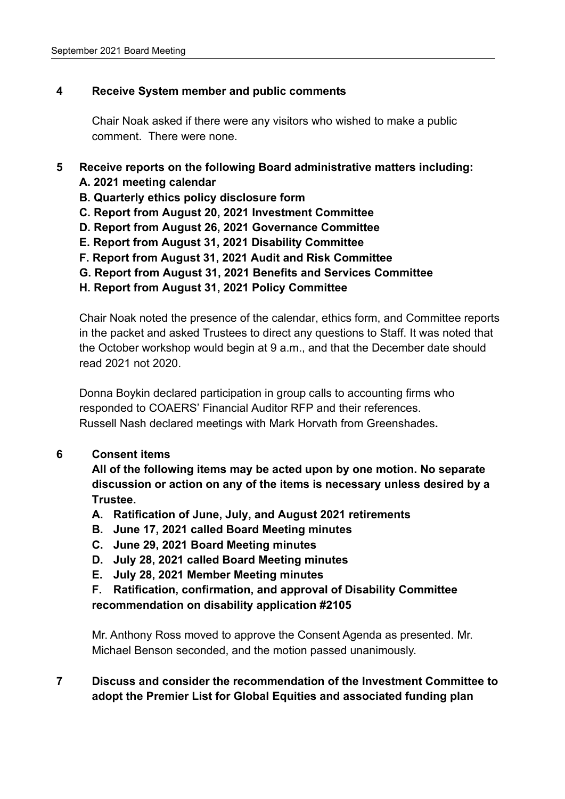# **4 Receive System member and public comments**

Chair Noak asked if there were any visitors who wished to make a public comment. There were none.

# **5 Receive reports on the following Board administrative matters including:**

- **A. 2021 meeting calendar**
- **B. Quarterly ethics policy disclosure form**
- **C. Report from August 20, 2021 Investment Committee**
- **D. Report from August 26, 2021 Governance Committee**
- **E. Report from August 31, 2021 Disability Committee**
- **F. Report from August 31, 2021 Audit and Risk Committee**
- **G. Report from August 31, 2021 Benefits and Services Committee**
- **H. Report from August 31, 2021 Policy Committee**

Chair Noak noted the presence of the calendar, ethics form, and Committee reports in the packet and asked Trustees to direct any questions to Staff. It was noted that the October workshop would begin at 9 a.m., and that the December date should read 2021 not 2020.

Donna Boykin declared participation in group calls to accounting firms who responded to COAERS' Financial Auditor RFP and their references. Russell Nash declared meetings with Mark Horvath from Greenshades**.**

# **6 Consent items**

**All of the following items may be acted upon by one motion. No separate discussion or action on any of the items is necessary unless desired by a Trustee.**

- **A. Ratification of June, July, and August 2021 retirements**
- **B. June 17, 2021 called Board Meeting minutes**
- **C. June 29, 2021 Board Meeting minutes**
- **D. July 28, 2021 called Board Meeting minutes**
- **E. July 28, 2021 Member Meeting minutes**
- **F. Ratification, confirmation, and approval of Disability Committee recommendation on disability application #2105**

Mr. Anthony Ross moved to approve the Consent Agenda as presented. Mr. Michael Benson seconded, and the motion passed unanimously.

**7 Discuss and consider the recommendation of the Investment Committee to adopt the Premier List for Global Equities and associated funding plan**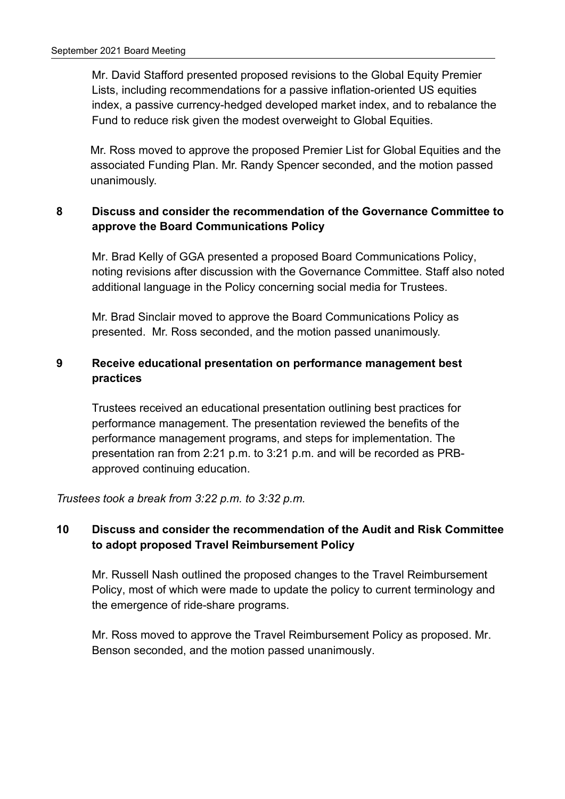Mr. David Stafford presented proposed revisions to the Global Equity Premier Lists, including recommendations for a passive inflation-oriented US equities index, a passive currency-hedged developed market index, and to rebalance the Fund to reduce risk given the modest overweight to Global Equities.

Mr. Ross moved to approve the proposed Premier List for Global Equities and the associated Funding Plan. Mr. Randy Spencer seconded, and the motion passed unanimously.

# **8 Discuss and consider the recommendation of the Governance Committee to approve the Board Communications Policy**

Mr. Brad Kelly of GGA presented a proposed Board Communications Policy, noting revisions after discussion with the Governance Committee. Staff also noted additional language in the Policy concerning social media for Trustees.

Mr. Brad Sinclair moved to approve the Board Communications Policy as presented. Mr. Ross seconded, and the motion passed unanimously.

# **9 Receive educational presentation on performance management best practices**

Trustees received an educational presentation outlining best practices for performance management. The presentation reviewed the benefits of the performance management programs, and steps for implementation. The presentation ran from 2:21 p.m. to 3:21 p.m. and will be recorded as PRBapproved continuing education.

*Trustees took a break from 3:22 p.m. to 3:32 p.m.*

# **10 Discuss and consider the recommendation of the Audit and Risk Committee to adopt proposed Travel Reimbursement Policy**

Mr. Russell Nash outlined the proposed changes to the Travel Reimbursement Policy, most of which were made to update the policy to current terminology and the emergence of ride-share programs.

Mr. Ross moved to approve the Travel Reimbursement Policy as proposed. Mr. Benson seconded, and the motion passed unanimously.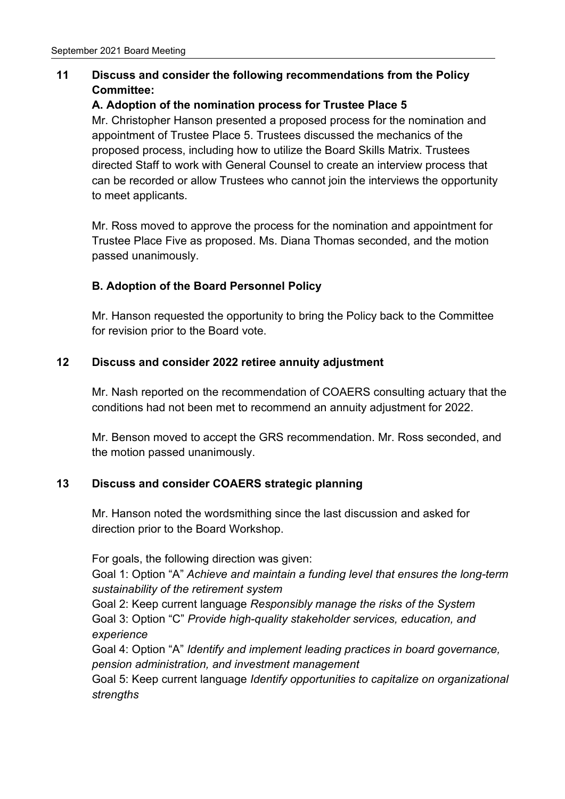# **11 Discuss and consider the following recommendations from the Policy Committee:**

# **A. Adoption of the nomination process for Trustee Place 5**

Mr. Christopher Hanson presented a proposed process for the nomination and appointment of Trustee Place 5. Trustees discussed the mechanics of the proposed process, including how to utilize the Board Skills Matrix. Trustees directed Staff to work with General Counsel to create an interview process that can be recorded or allow Trustees who cannot join the interviews the opportunity to meet applicants.

Mr. Ross moved to approve the process for the nomination and appointment for Trustee Place Five as proposed. Ms. Diana Thomas seconded, and the motion passed unanimously.

# **B. Adoption of the Board Personnel Policy**

Mr. Hanson requested the opportunity to bring the Policy back to the Committee for revision prior to the Board vote.

# **12 Discuss and consider 2022 retiree annuity adjustment**

Mr. Nash reported on the recommendation of COAERS consulting actuary that the conditions had not been met to recommend an annuity adjustment for 2022.

Mr. Benson moved to accept the GRS recommendation. Mr. Ross seconded, and the motion passed unanimously.

# **13 Discuss and consider COAERS strategic planning**

Mr. Hanson noted the wordsmithing since the last discussion and asked for direction prior to the Board Workshop.

For goals, the following direction was given:

Goal 1: Option "A" *Achieve and maintain a funding level that ensures the long-term sustainability of the retirement system*

Goal 2: Keep current language *Responsibly manage the risks of the System* Goal 3: Option "C" *Provide high-quality stakeholder services, education, and experience*

Goal 4: Option "A" *Identify and implement leading practices in board governance, pension administration, and investment management*

Goal 5: Keep current language *Identify opportunities to capitalize on organizational strengths*